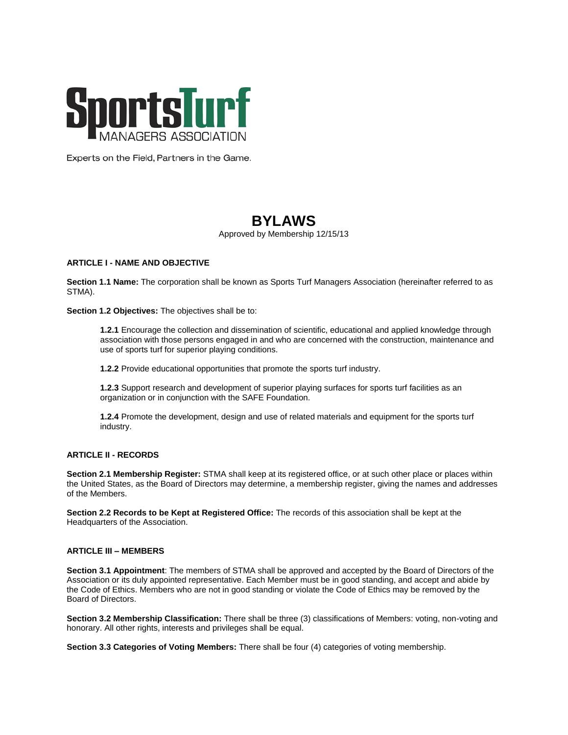

Experts on the Field, Partners in the Game.

# **BYLAWS**

*Approved by Membership 12/15/13*

# **ARTICLE I - NAME AND OBJECTIVE**

**Section 1.1 Name:** The corporation shall be known as Sports Turf Managers Association (hereinafter referred to as STMA).

**Section 1.2 Objectives:** The objectives shall be to:

**1.2.1** Encourage the collection and dissemination of scientific, educational and applied knowledge through association with those persons engaged in and who are concerned with the construction, maintenance and use of sports turf for superior playing conditions.

**1.2.2** Provide educational opportunities that promote the sports turf industry.

**1.2.3** Support research and development of superior playing surfaces for sports turf facilities as an organization or in conjunction with the SAFE Foundation.

**1.2.4** Promote the development, design and use of related materials and equipment for the sports turf industry.

# **ARTICLE II - RECORDS**

**Section 2.1 Membership Register:** STMA shall keep at its registered office, or at such other place or places within the United States, as the Board of Directors may determine, a membership register, giving the names and addresses of the Members.

**Section 2.2 Records to be Kept at Registered Office:** The records of this association shall be kept at the Headquarters of the Association.

## **ARTICLE III – MEMBERS**

**Section 3.1 Appointment**: The members of STMA shall be approved and accepted by the Board of Directors of the Association or its duly appointed representative. Each Member must be in good standing, and accept and abide by the Code of Ethics. Members who are not in good standing or violate the Code of Ethics may be removed by the Board of Directors.

**Section 3.2 Membership Classification:** There shall be three (3) classifications of Members: voting, non-voting and honorary. All other rights, interests and privileges shall be equal.

**Section 3.3 Categories of Voting Members:** There shall be four (4) categories of voting membership.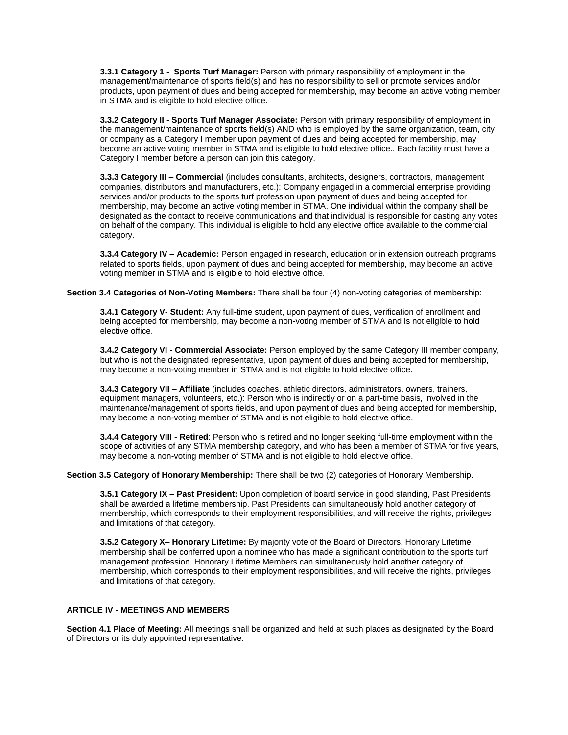**3.3.1 Category 1 - Sports Turf Manager:** Person with primary responsibility of employment in the management/maintenance of sports field(s) and has no responsibility to sell or promote services and/or products, upon payment of dues and being accepted for membership, may become an active voting member in STMA and is eligible to hold elective office.

**3.3.2 Category II - Sports Turf Manager Associate:** Person with primary responsibility of employment in the management/maintenance of sports field(s) AND who is employed by the same organization, team, city or company as a Category I member upon payment of dues and being accepted for membership, may become an active voting member in STMA and is eligible to hold elective office.. Each facility must have a Category I member before a person can join this category.

**3.3.3 Category III – Commercial** (includes consultants, architects, designers, contractors, management companies, distributors and manufacturers, etc.): Company engaged in a commercial enterprise providing services and/or products to the sports turf profession upon payment of dues and being accepted for membership, may become an active voting member in STMA. One individual within the company shall be designated as the contact to receive communications and that individual is responsible for casting any votes on behalf of the company. This individual is eligible to hold any elective office available to the commercial category.

**3.3.4 Category IV – Academic:** Person engaged in research, education or in extension outreach programs related to sports fields, upon payment of dues and being accepted for membership, may become an active voting member in STMA and is eligible to hold elective office.

**Section 3.4 Categories of Non-Voting Members:** There shall be four (4) non-voting categories of membership:

**3.4.1 Category V- Student:** Any full-time student, upon payment of dues, verification of enrollment and being accepted for membership, may become a non-voting member of STMA and is not eligible to hold elective office.

**3.4.2 Category VI - Commercial Associate:** Person employed by the same Category III member company, but who is not the designated representative, upon payment of dues and being accepted for membership, may become a non-voting member in STMA and is not eligible to hold elective office.

**3.4.3 Category VII – Affiliate** (includes coaches, athletic directors, administrators, owners, trainers, equipment managers, volunteers, etc.): Person who is indirectly or on a part-time basis, involved in the maintenance/management of sports fields, and upon payment of dues and being accepted for membership, may become a non-voting member of STMA and is not eligible to hold elective office.

**3.4.4 Category VIII - Retired**: Person who is retired and no longer seeking full-time employment within the scope of activities of any STMA membership category, and who has been a member of STMA for five years, may become a non-voting member of STMA and is not eligible to hold elective office.

**Section 3.5 Category of Honorary Membership:** There shall be two (2) categories of Honorary Membership.

**3.5.1 Category IX – Past President:** Upon completion of board service in good standing, Past Presidents shall be awarded a lifetime membership. Past Presidents can simultaneously hold another category of membership, which corresponds to their employment responsibilities, and will receive the rights, privileges and limitations of that category.

**3.5.2 Category X– Honorary Lifetime:** By majority vote of the Board of Directors, Honorary Lifetime membership shall be conferred upon a nominee who has made a significant contribution to the sports turf management profession. Honorary Lifetime Members can simultaneously hold another category of membership, which corresponds to their employment responsibilities, and will receive the rights, privileges and limitations of that category.

# **ARTICLE IV - MEETINGS AND MEMBERS**

**Section 4.1 Place of Meeting:** All meetings shall be organized and held at such places as designated by the Board of Directors or its duly appointed representative.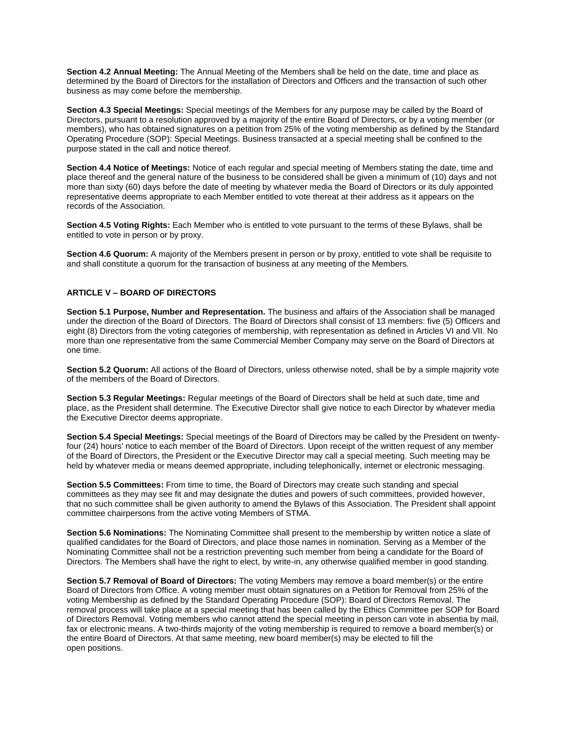**Section 4.2 Annual Meeting:** The Annual Meeting of the Members shall be held on the date, time and place as determined by the Board of Directors for the installation of Directors and Officers and the transaction of such other business as may come before the membership.

**Section 4.3 Special Meetings:** Special meetings of the Members for any purpose may be called by the Board of Directors, pursuant to a resolution approved by a majority of the entire Board of Directors, or by a voting member (or members), who has obtained signatures on a petition from 25% of the voting membership as defined by the Standard Operating Procedure (SOP): Special Meetings. Business transacted at a special meeting shall be confined to the purpose stated in the call and notice thereof.

**Section 4.4 Notice of Meetings:** Notice of each regular and special meeting of Members stating the date, time and place thereof and the general nature of the business to be considered shall be given a minimum of (10) days and not more than sixty (60) days before the date of meeting by whatever media the Board of Directors or its duly appointed representative deems appropriate to each Member entitled to vote thereat at their address as it appears on the records of the Association.

**Section 4.5 Voting Rights:** Each Member who is entitled to vote pursuant to the terms of these Bylaws, shall be entitled to vote in person or by proxy.

**Section 4.6 Quorum:** A majority of the Members present in person or by proxy, entitled to vote shall be requisite to and shall constitute a quorum for the transaction of business at any meeting of the Members.

#### **ARTICLE V – BOARD OF DIRECTORS**

**Section 5.1 Purpose, Number and Representation.** The business and affairs of the Association shall be managed under the direction of the Board of Directors. The Board of Directors shall consist of 13 members: five (5) Officers and eight (8) Directors from the voting categories of membership, with representation as defined in Articles VI and VII. No more than one representative from the same Commercial Member Company may serve on the Board of Directors at one time.

**Section 5.2 Quorum:** All actions of the Board of Directors, unless otherwise noted, shall be by a simple majority vote of the members of the Board of Directors.

**Section 5.3 Regular Meetings:** Regular meetings of the Board of Directors shall be held at such date, time and place, as the President shall determine. The Executive Director shall give notice to each Director by whatever media the Executive Director deems appropriate.

**Section 5.4 Special Meetings:** Special meetings of the Board of Directors may be called by the President on twentyfour (24) hours' notice to each member of the Board of Directors. Upon receipt of the written request of any member of the Board of Directors, the President or the Executive Director may call a special meeting. Such meeting may be held by whatever media or means deemed appropriate, including telephonically, internet or electronic messaging.

**Section 5.5 Committees:** From time to time, the Board of Directors may create such standing and special committees as they may see fit and may designate the duties and powers of such committees, provided however, that no such committee shall be given authority to amend the Bylaws of this Association. The President shall appoint committee chairpersons from the active voting Members of STMA.

**Section 5.6 Nominations:** The Nominating Committee shall present to the membership by written notice a slate of qualified candidates for the Board of Directors, and place those names in nomination. Serving as a Member of the Nominating Committee shall not be a restriction preventing such member from being a candidate for the Board of Directors. The Members shall have the right to elect, by write-in, any otherwise qualified member in good standing.

**Section 5.7 Removal of Board of Directors:** The voting Members may remove a board member(s) or the entire Board of Directors from Office. A voting member must obtain signatures on a Petition for Removal from 25% of the voting Membership as defined by the Standard Operating Procedure (SOP): Board of Directors Removal. The removal process will take place at a special meeting that has been called by the Ethics Committee per SOP for Board of Directors Removal. Voting members who cannot attend the special meeting in person can vote in absentia by mail, fax or electronic means. A two-thirds majority of the voting membership is required to remove a board member(s) or the entire Board of Directors. At that same meeting, new board member(s) may be elected to fill the open positions.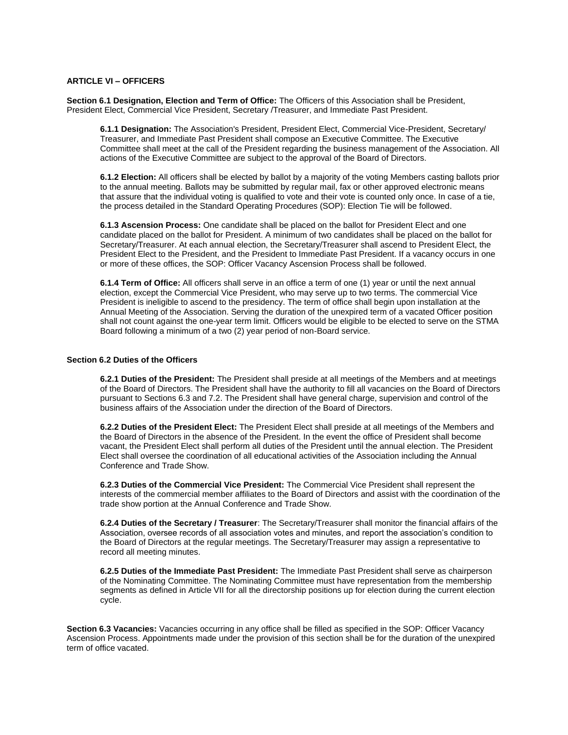## **ARTICLE VI – OFFICERS**

**Section 6.1 Designation, Election and Term of Office:** The Officers of this Association shall be President, President Elect, Commercial Vice President, Secretary /Treasurer, and Immediate Past President.

**6.1.1 Designation:** The Association's President, President Elect, Commercial Vice-President, Secretary/ Treasurer, and Immediate Past President shall compose an Executive Committee. The Executive Committee shall meet at the call of the President regarding the business management of the Association. All actions of the Executive Committee are subject to the approval of the Board of Directors.

**6.1.2 Election:** All officers shall be elected by ballot by a majority of the voting Members casting ballots prior to the annual meeting. Ballots may be submitted by regular mail, fax or other approved electronic means that assure that the individual voting is qualified to vote and their vote is counted only once. In case of a tie, the process detailed in the Standard Operating Procedures (SOP): Election Tie will be followed.

**6.1.3 Ascension Process:** One candidate shall be placed on the ballot for President Elect and one candidate placed on the ballot for President. A minimum of two candidates shall be placed on the ballot for Secretary/Treasurer. At each annual election, the Secretary/Treasurer shall ascend to President Elect, the President Elect to the President, and the President to Immediate Past President. If a vacancy occurs in one or more of these offices, the SOP: Officer Vacancy Ascension Process shall be followed.

**6.1.4 Term of Office:** All officers shall serve in an office a term of one (1) year or until the next annual election, except the Commercial Vice President, who may serve up to two terms. The commercial Vice President is ineligible to ascend to the presidency. The term of office shall begin upon installation at the Annual Meeting of the Association. Serving the duration of the unexpired term of a vacated Officer position shall not count against the one-year term limit. Officers would be eligible to be elected to serve on the STMA Board following a minimum of a two (2) year period of non-Board service.

# **Section 6.2 Duties of the Officers**

**6.2.1 Duties of the President:** The President shall preside at all meetings of the Members and at meetings of the Board of Directors. The President shall have the authority to fill all vacancies on the Board of Directors pursuant to Sections 6.3 and 7.2. The President shall have general charge, supervision and control of the business affairs of the Association under the direction of the Board of Directors.

**6.2.2 Duties of the President Elect:** The President Elect shall preside at all meetings of the Members and the Board of Directors in the absence of the President. In the event the office of President shall become vacant, the President Elect shall perform all duties of the President until the annual election. The President Elect shall oversee the coordination of all educational activities of the Association including the Annual Conference and Trade Show.

**6.2.3 Duties of the Commercial Vice President:** The Commercial Vice President shall represent the interests of the commercial member affiliates to the Board of Directors and assist with the coordination of the trade show portion at the Annual Conference and Trade Show.

**6.2.4 Duties of the Secretary / Treasurer**: The Secretary/Treasurer shall monitor the financial affairs of the Association, oversee records of all association votes and minutes, and report the association's condition to the Board of Directors at the regular meetings. The Secretary/Treasurer may assign a representative to record all meeting minutes.

**6.2.5 Duties of the Immediate Past President:** The Immediate Past President shall serve as chairperson of the Nominating Committee. The Nominating Committee must have representation from the membership segments as defined in Article VII for all the directorship positions up for election during the current election cycle.

**Section 6.3 Vacancies:** Vacancies occurring in any office shall be filled as specified in the SOP: Officer Vacancy Ascension Process. Appointments made under the provision of this section shall be for the duration of the unexpired term of office vacated.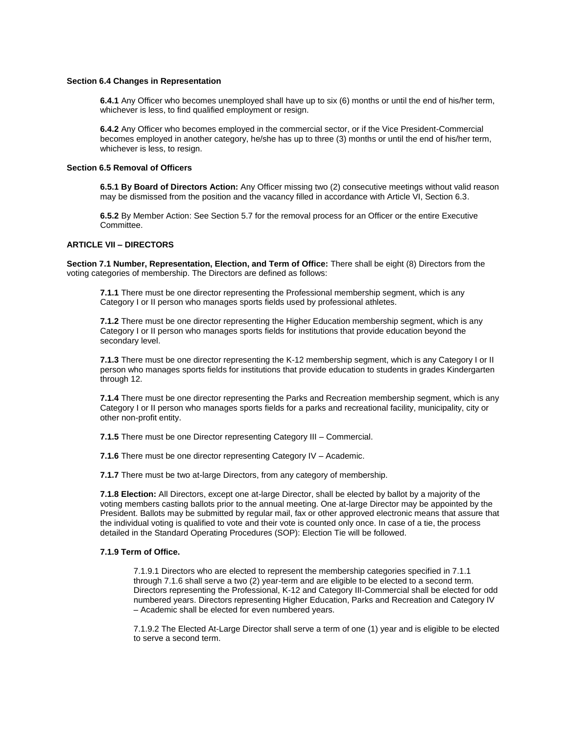#### **Section 6.4 Changes in Representation**

**6.4.1** Any Officer who becomes unemployed shall have up to six (6) months or until the end of his/her term, whichever is less, to find qualified employment or resign.

**6.4.2** Any Officer who becomes employed in the commercial sector, or if the Vice President-Commercial becomes employed in another category, he/she has up to three (3) months or until the end of his/her term, whichever is less, to resign.

#### **Section 6.5 Removal of Officers**

**6.5.1 By Board of Directors Action:** Any Officer missing two (2) consecutive meetings without valid reason may be dismissed from the position and the vacancy filled in accordance with Article VI, Section 6.3.

**6.5.2** By Member Action: See Section 5.7 for the removal process for an Officer or the entire Executive Committee.

## **ARTICLE VII – DIRECTORS**

**Section 7.1 Number, Representation, Election, and Term of Office:** There shall be eight (8) Directors from the voting categories of membership. The Directors are defined as follows:

**7.1.1** There must be one director representing the Professional membership segment, which is any Category I or II person who manages sports fields used by professional athletes.

**7.1.2** There must be one director representing the Higher Education membership segment, which is any Category I or II person who manages sports fields for institutions that provide education beyond the secondary level.

**7.1.3** There must be one director representing the K-12 membership segment, which is any Category I or II person who manages sports fields for institutions that provide education to students in grades Kindergarten through 12.

**7.1.4** There must be one director representing the Parks and Recreation membership segment, which is any Category I or II person who manages sports fields for a parks and recreational facility, municipality, city or other non-profit entity.

**7.1.5** There must be one Director representing Category III – Commercial.

**7.1.6** There must be one director representing Category IV – Academic.

**7.1.7** There must be two at-large Directors, from any category of membership.

**7.1.8 Election:** All Directors, except one at-large Director, shall be elected by ballot by a majority of the voting members casting ballots prior to the annual meeting. One at-large Director may be appointed by the President. Ballots may be submitted by regular mail, fax or other approved electronic means that assure that the individual voting is qualified to vote and their vote is counted only once. In case of a tie, the process detailed in the Standard Operating Procedures (SOP): Election Tie will be followed.

#### **7.1.9 Term of Office.**

7.1.9.1 Directors who are elected to represent the membership categories specified in 7.1.1 through 7.1.6 shall serve a two (2) year-term and are eligible to be elected to a second term. Directors representing the Professional, K-12 and Category III-Commercial shall be elected for odd numbered years. Directors representing Higher Education, Parks and Recreation and Category IV – Academic shall be elected for even numbered years.

7.1.9.2 The Elected At-Large Director shall serve a term of one (1) year and is eligible to be elected to serve a second term.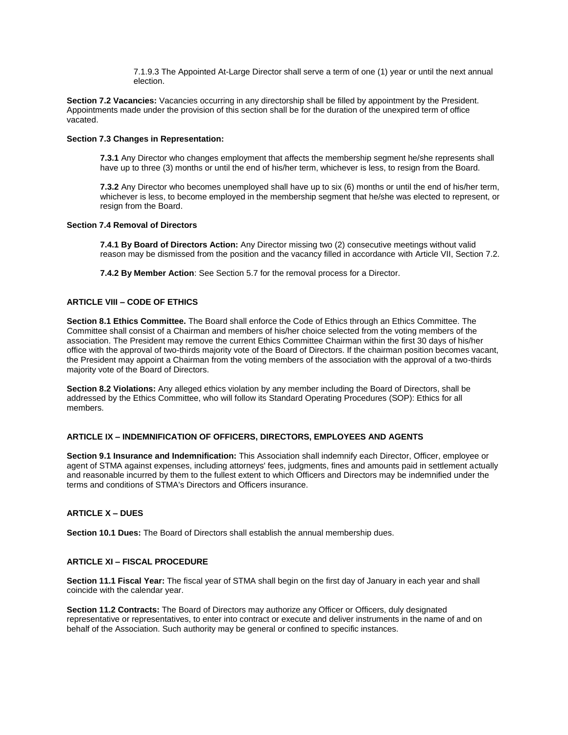7.1.9.3 The Appointed At-Large Director shall serve a term of one (1) year or until the next annual election.

**Section 7.2 Vacancies:** Vacancies occurring in any directorship shall be filled by appointment by the President. Appointments made under the provision of this section shall be for the duration of the unexpired term of office vacated.

#### **Section 7.3 Changes in Representation:**

**7.3.1** Any Director who changes employment that affects the membership segment he/she represents shall have up to three (3) months or until the end of his/her term, whichever is less, to resign from the Board.

**7.3.2** Any Director who becomes unemployed shall have up to six (6) months or until the end of his/her term, whichever is less, to become employed in the membership segment that he/she was elected to represent, or resign from the Board.

#### **Section 7.4 Removal of Directors**

**7.4.1 By Board of Directors Action:** Any Director missing two (2) consecutive meetings without valid reason may be dismissed from the position and the vacancy filled in accordance with Article VII, Section 7.2.

**7.4.2 By Member Action**: See Section 5.7 for the removal process for a Director.

## **ARTICLE VIII – CODE OF ETHICS**

**Section 8.1 Ethics Committee.** The Board shall enforce the Code of Ethics through an Ethics Committee. The Committee shall consist of a Chairman and members of his/her choice selected from the voting members of the association. The President may remove the current Ethics Committee Chairman within the first 30 days of his/her office with the approval of two-thirds majority vote of the Board of Directors. If the chairman position becomes vacant, the President may appoint a Chairman from the voting members of the association with the approval of a two-thirds majority vote of the Board of Directors.

**Section 8.2 Violations:** Any alleged ethics violation by any member including the Board of Directors, shall be addressed by the Ethics Committee, who will follow its Standard Operating Procedures (SOP): Ethics for all members.

## **ARTICLE IX – INDEMNIFICATION OF OFFICERS, DIRECTORS, EMPLOYEES AND AGENTS**

**Section 9.1 Insurance and Indemnification:** This Association shall indemnify each Director, Officer, employee or agent of STMA against expenses, including attorneys' fees, judgments, fines and amounts paid in settlement actually and reasonable incurred by them to the fullest extent to which Officers and Directors may be indemnified under the terms and conditions of STMA's Directors and Officers insurance.

## **ARTICLE X – DUES**

**Section 10.1 Dues:** The Board of Directors shall establish the annual membership dues.

#### **ARTICLE XI – FISCAL PROCEDURE**

**Section 11.1 Fiscal Year:** The fiscal year of STMA shall begin on the first day of January in each year and shall coincide with the calendar year.

**Section 11.2 Contracts:** The Board of Directors may authorize any Officer or Officers, duly designated representative or representatives, to enter into contract or execute and deliver instruments in the name of and on behalf of the Association. Such authority may be general or confined to specific instances.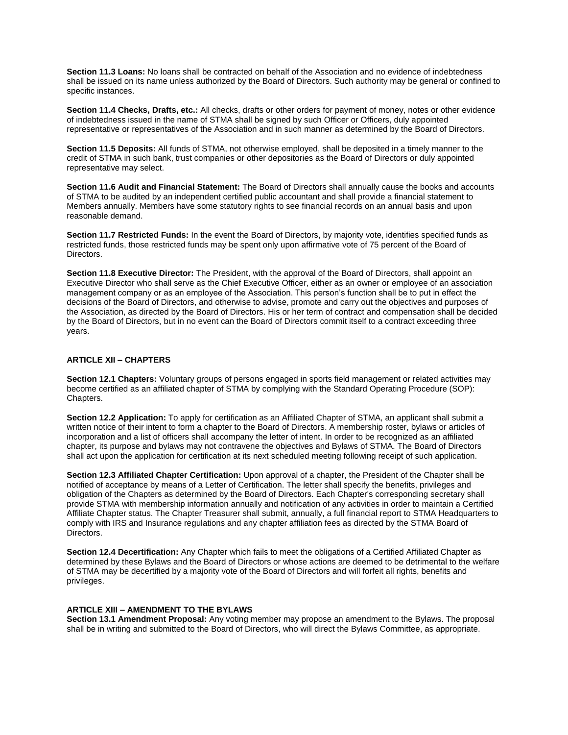**Section 11.3 Loans:** No loans shall be contracted on behalf of the Association and no evidence of indebtedness shall be issued on its name unless authorized by the Board of Directors. Such authority may be general or confined to specific instances.

**Section 11.4 Checks, Drafts, etc.:** All checks, drafts or other orders for payment of money, notes or other evidence of indebtedness issued in the name of STMA shall be signed by such Officer or Officers, duly appointed representative or representatives of the Association and in such manner as determined by the Board of Directors.

**Section 11.5 Deposits:** All funds of STMA, not otherwise employed, shall be deposited in a timely manner to the credit of STMA in such bank, trust companies or other depositories as the Board of Directors or duly appointed representative may select.

**Section 11.6 Audit and Financial Statement:** The Board of Directors shall annually cause the books and accounts of STMA to be audited by an independent certified public accountant and shall provide a financial statement to Members annually. Members have some statutory rights to see financial records on an annual basis and upon reasonable demand.

**Section 11.7 Restricted Funds:** In the event the Board of Directors, by majority vote, identifies specified funds as restricted funds, those restricted funds may be spent only upon affirmative vote of 75 percent of the Board of Directors.

**Section 11.8 Executive Director:** The President, with the approval of the Board of Directors, shall appoint an Executive Director who shall serve as the Chief Executive Officer, either as an owner or employee of an association management company or as an employee of the Association. This person's function shall be to put in effect the decisions of the Board of Directors, and otherwise to advise, promote and carry out the objectives and purposes of the Association, as directed by the Board of Directors. His or her term of contract and compensation shall be decided by the Board of Directors, but in no event can the Board of Directors commit itself to a contract exceeding three years.

## **ARTICLE XII – CHAPTERS**

**Section 12.1 Chapters:** Voluntary groups of persons engaged in sports field management or related activities may become certified as an affiliated chapter of STMA by complying with the Standard Operating Procedure (SOP): Chapters.

**Section 12.2 Application:** To apply for certification as an Affiliated Chapter of STMA, an applicant shall submit a written notice of their intent to form a chapter to the Board of Directors. A membership roster, bylaws or articles of incorporation and a list of officers shall accompany the letter of intent. In order to be recognized as an affiliated chapter, its purpose and bylaws may not contravene the objectives and Bylaws of STMA. The Board of Directors shall act upon the application for certification at its next scheduled meeting following receipt of such application.

**Section 12.3 Affiliated Chapter Certification:** Upon approval of a chapter, the President of the Chapter shall be notified of acceptance by means of a Letter of Certification. The letter shall specify the benefits, privileges and obligation of the Chapters as determined by the Board of Directors. Each Chapter's corresponding secretary shall provide STMA with membership information annually and notification of any activities in order to maintain a Certified Affiliate Chapter status. The Chapter Treasurer shall submit, annually, a full financial report to STMA Headquarters to comply with IRS and Insurance regulations and any chapter affiliation fees as directed by the STMA Board of Directors.

**Section 12.4 Decertification:** Any Chapter which fails to meet the obligations of a Certified Affiliated Chapter as determined by these Bylaws and the Board of Directors or whose actions are deemed to be detrimental to the welfare of STMA may be decertified by a majority vote of the Board of Directors and will forfeit all rights, benefits and privileges.

## **ARTICLE XIII – AMENDMENT TO THE BYLAWS**

**Section 13.1 Amendment Proposal:** Any voting member may propose an amendment to the Bylaws. The proposal shall be in writing and submitted to the Board of Directors, who will direct the Bylaws Committee, as appropriate.